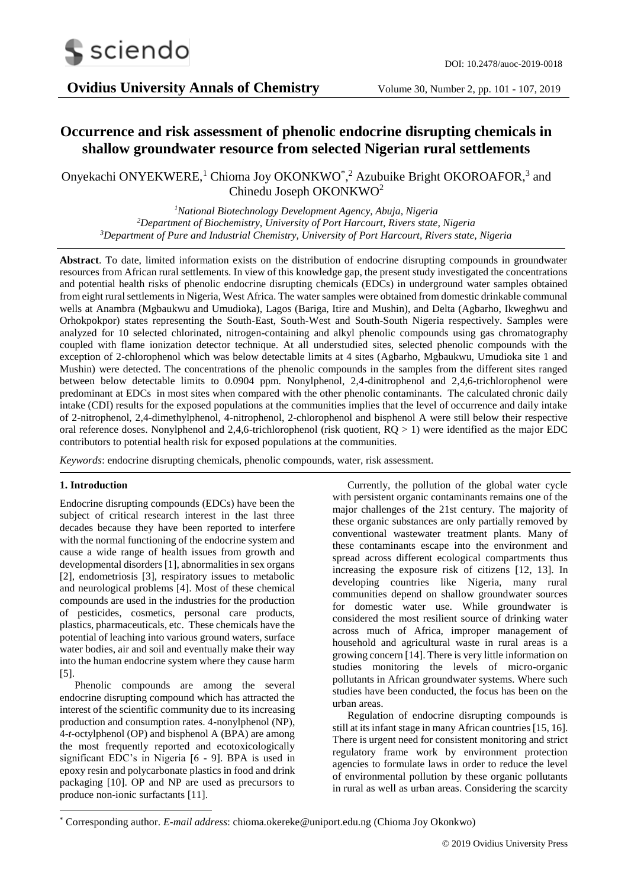

# **Occurrence and risk assessment of phenolic endocrine disrupting chemicals in shallow groundwater resource from selected Nigerian rural settlements**

## Onyekachi ONYEKWERE,<sup>1</sup> Chioma Joy OKONKWO<sup>\*</sup>,<sup>2</sup> Azubuike Bright OKOROAFOR,<sup>3</sup> and Chinedu Joseph OKONKWO<sup>2</sup>

*<sup>1</sup>National Biotechnology Development Agency, Abuja, Nigeria <sup>2</sup>Department of Biochemistry, University of Port Harcourt, Rivers state, Nigeria <sup>3</sup>Department of Pure and Industrial Chemistry, University of Port Harcourt, Rivers state, Nigeria*

**Abstract**. To date, limited information exists on the distribution of endocrine disrupting compounds in groundwater resources from African rural settlements. In view of this knowledge gap, the present study investigated the concentrations and potential health risks of phenolic endocrine disrupting chemicals (EDCs) in underground water samples obtained from eight rural settlements in Nigeria, West Africa. The water samples were obtained from domestic drinkable communal wells at Anambra (Mgbaukwu and Umudioka), Lagos (Bariga, Itire and Mushin), and Delta (Agbarho, Ikweghwu and Orhokpokpor) states representing the South-East, South-West and South-South Nigeria respectively. Samples were analyzed for 10 selected chlorinated, nitrogen-containing and alkyl phenolic compounds using gas chromatography coupled with flame ionization detector technique. At all understudied sites, selected phenolic compounds with the exception of 2-chlorophenol which was below detectable limits at 4 sites (Agbarho, Mgbaukwu, Umudioka site 1 and Mushin) were detected. The concentrations of the phenolic compounds in the samples from the different sites ranged between below detectable limits to 0.0904 ppm. Nonylphenol, 2,4-dinitrophenol and 2,4,6-trichlorophenol were predominant at EDCs in most sites when compared with the other phenolic contaminants. The calculated chronic daily intake (CDI) results for the exposed populations at the communities implies that the level of occurrence and daily intake of 2-nitrophenol, 2,4-dimethylphenol, 4-nitrophenol, 2-chlorophenol and bisphenol A were still below their respective oral reference doses. Nonylphenol and 2,4,6-trichlorophenol (risk quotient,  $RQ > 1$ ) were identified as the major EDC contributors to potential health risk for exposed populations at the communities.

*Keywords*: endocrine disrupting chemicals, phenolic compounds, water, risk assessment.

## **1. Introduction**

-

Endocrine disrupting compounds (EDCs) have been the subject of critical research interest in the last three decades because they have been reported to interfere with the normal functioning of the endocrine system and cause a wide range of health issues from growth and developmental disorders [1], abnormalities in sex organs [2], endometriosis [3], respiratory issues to metabolic and neurological problems [4]. Most of these chemical compounds are used in the industries for the production of pesticides, cosmetics, personal care products, plastics, pharmaceuticals, etc. These chemicals have the potential of leaching into various ground waters, surface water bodies, air and soil and eventually make their way into the human endocrine system where they cause harm [5].

Phenolic compounds are among the several endocrine disrupting compound which has attracted the interest of the scientific community due to its increasing production and consumption rates. 4-nonylphenol (NP), 4-*t*-octylphenol (OP) and bisphenol A (BPA) are among the most frequently reported and ecotoxicologically significant EDC's in Nigeria [6 - 9]. BPA is used in epoxy resin and polycarbonate plastics in food and drink packaging [10]. OP and NP are used as precursors to produce non-ionic surfactants [11].

Currently, the pollution of the global water cycle with persistent organic contaminants remains one of the major challenges of the 21st century. The majority of these organic substances are only partially removed by conventional wastewater treatment plants. Many of these contaminants escape into the environment and spread across different ecological compartments thus increasing the exposure risk of citizens [12, 13]. In developing countries like Nigeria, many rural communities depend on shallow groundwater sources for domestic water use. While groundwater is considered the most resilient source of drinking water across much of Africa, improper management of household and agricultural waste in rural areas is a growing concern [14]. There is very little information on studies monitoring the levels of micro-organic pollutants in African groundwater systems. Where such studies have been conducted, the focus has been on the urban areas.

Regulation of endocrine disrupting compounds is still at its infant stage in many African countries [15, 16]. There is urgent need for consistent monitoring and strict regulatory frame work by environment protection agencies to formulate laws in order to reduce the level of environmental pollution by these organic pollutants in rural as well as urban areas. Considering the scarcity

<sup>\*</sup> Corresponding author. *E-mail address*: chioma.okereke@uniport.edu.ng (Chioma Joy Okonkwo)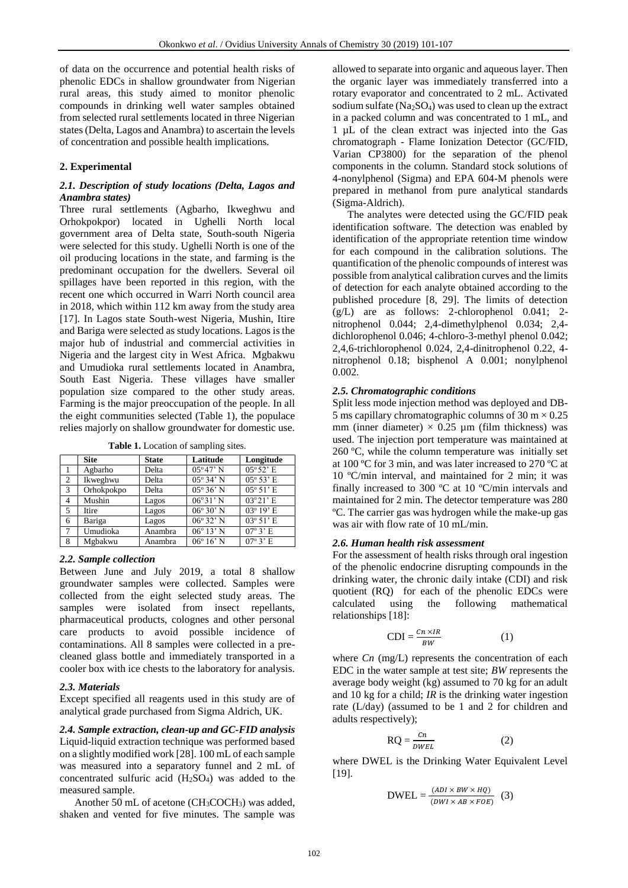of data on the occurrence and potential health risks of phenolic EDCs in shallow groundwater from Nigerian rural areas, this study aimed to monitor phenolic compounds in drinking well water samples obtained from selected rural settlements located in three Nigerian states (Delta, Lagos and Anambra) to ascertain the levels of concentration and possible health implications.

## **2. Experimental**

## *2.1. Description of study locations (Delta, Lagos and Anambra states)*

Three rural settlements (Agbarho, Ikweghwu and Orhokpokpor) located in Ughelli North local government area of Delta state, South-south Nigeria were selected for this study. Ughelli North is one of the oil producing locations in the state, and farming is the predominant occupation for the dwellers. Several oil spillages have been reported in this region, with the recent one which occurred in Warri North council area in 2018, which within 112 km away from the study area [17]. In Lagos state South-west Nigeria, Mushin, Itire and Bariga were selected as study locations. Lagos is the major hub of industrial and commercial activities in Nigeria and the largest city in West Africa. Mgbakwu and Umudioka rural settlements located in Anambra, South East Nigeria. These villages have smaller population size compared to the other study areas. Farming is the major preoccupation of the people. In all the eight communities selected (Table 1), the populace relies majorly on shallow groundwater for domestic use.

|   | <b>Site</b> | <b>State</b> | Latitude           | Longitude                    |
|---|-------------|--------------|--------------------|------------------------------|
|   | Agbarho     | Delta        | $05^{\circ}47'$ N  | $05^{\circ}52$ ' E           |
| 2 | Ikweghwu    | Delta        | $05^{\circ} 34' N$ | $05^{\circ} 53' E$           |
| 3 | Orhokpokpo  | Delta        | $05^{\circ} 36' N$ | $05^{\circ} 51' E$           |
| 4 | Mushin      | Lagos        | $06^{\circ}31'$ N  | $03^{\circ}21'$ E            |
| 5 | Itire       | Lagos        | $06^{\circ} 30' N$ | $03^{\circ} 19' E$           |
| 6 | Bariga      | Lagos        | $06^{\circ} 32' N$ | $03^{\circ} 51' E$           |
| 7 | Umudioka    | Anambra      | $06^{\circ} 13' N$ | $07^{\circ}3$ <sup>t</sup> E |
| 8 | Mgbakwu     | Anambra      | $06^{\circ} 16' N$ | $07^\circ$ 3' E              |

**Table 1.** Location of sampling sites.

#### *2.2. Sample collection*

Between June and July 2019, a total 8 shallow groundwater samples were collected. Samples were collected from the eight selected study areas. The samples were isolated from insect repellants, pharmaceutical products, colognes and other personal care products to avoid possible incidence of contaminations. All 8 samples were collected in a precleaned glass bottle and immediately transported in a cooler box with ice chests to the laboratory for analysis.

#### *2.3. Materials*

Except specified all reagents used in this study are of analytical grade purchased from Sigma Aldrich, UK.

*2.4. Sample extraction, clean-up and GC-FID analysis* Liquid-liquid extraction technique was performed based on a slightly modified work [28]. 100 mL of each sample was measured into a separatory funnel and 2 mL of concentrated sulfuric acid (H2SO4) was added to the measured sample.

Another 50 mL of acetone  $(CH_3COCH_3)$  was added, shaken and vented for five minutes. The sample was

allowed to separate into organic and aqueous layer. Then the organic layer was immediately transferred into a rotary evaporator and concentrated to 2 mL. Activated sodium sulfate  $(Na_2SO_4)$  was used to clean up the extract in a packed column and was concentrated to 1 mL, and 1 µL of the clean extract was injected into the Gas chromatograph - Flame Ionization Detector (GC/FID, Varian CP3800) for the separation of the phenol components in the column. Standard stock solutions of 4-nonylphenol (Sigma) and EPA 604-M phenols were prepared in methanol from pure analytical standards (Sigma-Aldrich).

The analytes were detected using the GC/FID peak identification software. The detection was enabled by identification of the appropriate retention time window for each compound in the calibration solutions. The quantification of the phenolic compounds of interest was possible from analytical calibration curves and the limits of detection for each analyte obtained according to the published procedure [8, 29]. The limits of detection (g/L) are as follows: 2-chlorophenol 0.041; 2 nitrophenol 0.044; 2,4-dimethylphenol 0.034; 2,4 dichlorophenol 0.046; 4-chloro-3-methyl phenol 0.042; 2,4,6-trichlorophenol 0.024, 2,4-dinitrophenol 0.22, 4 nitrophenol 0.18; bisphenol A 0.001; nonylphenol 0.002.

## *2.5. Chromatographic conditions*

Split less mode injection method was deployed and DB-5 ms capillary chromatographic columns of 30 m  $\times$  0.25 mm (inner diameter)  $\times$  0.25 µm (film thickness) was used. The injection port temperature was maintained at 260 ºC, while the column temperature was initially set at 100 ºC for 3 min, and was later increased to 270 ºC at 10 ºC/min interval, and maintained for 2 min; it was finally increased to 300 ºC at 10 ºC/min intervals and maintained for 2 min. The detector temperature was 280 ºC. The carrier gas was hydrogen while the make-up gas was air with flow rate of 10 mL/min.

#### *2.6. Human health risk assessment*

For the assessment of health risks through oral ingestion of the phenolic endocrine disrupting compounds in the drinking water, the chronic daily intake (CDI) and risk quotient (RQ) for each of the phenolic EDCs were calculated using the following mathematical relationships [18]:

$$
CDI = \frac{Cn \times IR}{BW} \tag{1}
$$

where *Cn* (mg/L) represents the concentration of each EDC in the water sample at test site; *BW* represents the average body weight (kg) assumed to 70 kg for an adult and 10 kg for a child; *IR* is the drinking water ingestion rate (L/day) (assumed to be 1 and 2 for children and adults respectively);

$$
RQ = \frac{cn}{DWEL} \tag{2}
$$

where DWEL is the Drinking Water Equivalent Level [19].

$$
DWEL = \frac{(ADI \times BW \times HQ)}{(DWI \times AB \times FOE)} \quad (3)
$$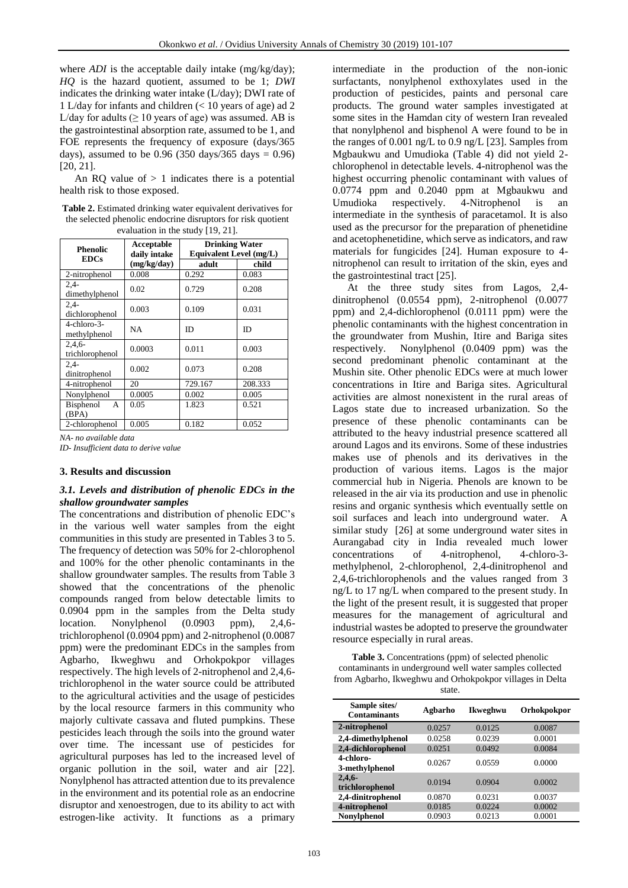where *ADI* is the acceptable daily intake (mg/kg/day); *HQ* is the hazard quotient, assumed to be 1; *DWI* indicates the drinking water intake (L/day); DWI rate of 1 L/day for infants and children (< 10 years of age) ad 2 L/day for adults ( $\geq 10$  years of age) was assumed. AB is the gastrointestinal absorption rate, assumed to be 1, and FOE represents the frequency of exposure (days/365 days), assumed to be 0.96 (350 days/365 days =  $0.96$ ) [20, 21].

An RQ value of  $> 1$  indicates there is a potential health risk to those exposed.

| <b>Table 2.</b> Estimated drinking water equivalent derivatives for |
|---------------------------------------------------------------------|
| the selected phenolic endocrine disruptors for risk quotient        |
| evaluation in the study $[19, 21]$ .                                |

| <b>Phenolic</b>                    | Acceptable<br>daily intake | <b>Drinking Water</b><br>Equivalent Level (mg/L) |         |  |
|------------------------------------|----------------------------|--------------------------------------------------|---------|--|
| <b>EDCs</b>                        | (mg/kg/day)                | adult                                            | child   |  |
| 2-nitrophenol                      | 0.008                      | 0.292                                            | 0.083   |  |
| $2,4-$<br>dimethylphenol           | 0.02                       | 0.729                                            | 0.208   |  |
| $2.4-$<br>dichlorophenol           | 0.003                      | 0.109                                            | 0.031   |  |
| $4$ -chloro- $3$ -<br>methylphenol | <b>NA</b>                  | <b>ID</b>                                        | ID      |  |
| $2,4,6-$<br>trichlorophenol        | 0.0003                     | 0.011                                            | 0.003   |  |
| $2.4 -$<br>dinitrophenol           | 0.002                      | 0.073                                            | 0.208   |  |
| 4-nitrophenol                      | 20                         | 729.167                                          | 208.333 |  |
| Nonylphenol                        | 0.0005                     | 0.002                                            | 0.005   |  |
| <b>Bisphenol</b><br>A<br>(BPA)     | 0.05                       | 1.823                                            | 0.521   |  |
| 2-chlorophenol                     | 0.005                      | 0.182                                            | 0.052   |  |

*NA- no available data*

*ID- Insufficient data to derive value*

### **3. Results and discussion**

## *3.1. Levels and distribution of phenolic EDCs in the shallow groundwater samples*

The concentrations and distribution of phenolic EDC's in the various well water samples from the eight communities in this study are presented in Tables 3 to 5. The frequency of detection was 50% for 2-chlorophenol and 100% for the other phenolic contaminants in the shallow groundwater samples. The results from Table 3 showed that the concentrations of the phenolic compounds ranged from below detectable limits to 0.0904 ppm in the samples from the Delta study<br>location. Nonylphenol (0.0903 ppm), 2.4.6-Nonylphenol  $(0.0903$  ppm),  $2,4,6$ trichlorophenol (0.0904 ppm) and 2-nitrophenol (0.0087 ppm) were the predominant EDCs in the samples from Agbarho, Ikweghwu and Orhokpokpor villages respectively. The high levels of 2-nitrophenol and 2,4,6 trichlorophenol in the water source could be attributed to the agricultural activities and the usage of pesticides by the local resource farmers in this community who majorly cultivate cassava and fluted pumpkins. These pesticides leach through the soils into the ground water over time. The incessant use of pesticides for agricultural purposes has led to the increased level of organic pollution in the soil, water and air [22]. Nonylphenol has attracted attention due to its prevalence in the environment and its potential role as an endocrine disruptor and xenoestrogen, due to its ability to act with estrogen-like activity. It functions as a primary

intermediate in the production of the non-ionic surfactants, nonylphenol exthoxylates used in the production of pesticides, paints and personal care products. The ground water samples investigated at some sites in the Hamdan city of western Iran revealed that nonylphenol and bisphenol A were found to be in the ranges of 0.001 ng/L to 0.9 ng/L [23]. Samples from Mgbaukwu and Umudioka (Table 4) did not yield 2 chlorophenol in detectable levels. 4-nitrophenol was the highest occurring phenolic contaminant with values of 0.0774 ppm and 0.2040 ppm at Mgbaukwu and Umudioka respectively. 4-Nitrophenol is an intermediate in the synthesis of paracetamol. It is also used as the precursor for the preparation of phenetidine and acetophenetidine, which serve as indicators, and raw materials for fungicides [24]. Human exposure to 4 nitrophenol can result to irritation of the skin, eyes and the gastrointestinal tract [25].

At the three study sites from Lagos, 2,4 dinitrophenol (0.0554 ppm), 2-nitrophenol (0.0077 ppm) and 2,4-dichlorophenol (0.0111 ppm) were the phenolic contaminants with the highest concentration in the groundwater from Mushin, Itire and Bariga sites respectively. Nonylphenol (0.0409 ppm) was the second predominant phenolic contaminant at the Mushin site. Other phenolic EDCs were at much lower concentrations in Itire and Bariga sites. Agricultural activities are almost nonexistent in the rural areas of Lagos state due to increased urbanization. So the presence of these phenolic contaminants can be attributed to the heavy industrial presence scattered all around Lagos and its environs. Some of these industries makes use of phenols and its derivatives in the production of various items. Lagos is the major commercial hub in Nigeria. Phenols are known to be released in the air via its production and use in phenolic resins and organic synthesis which eventually settle on soil surfaces and leach into underground water. A similar study [26] at some underground water sites in Aurangabad city in India revealed much lower concentrations of 4-nitrophenol, 4-chloro-3 methylphenol, 2-chlorophenol, 2,4-dinitrophenol and 2,4,6-trichlorophenols and the values ranged from 3 ng/L to 17 ng/L when compared to the present study. In the light of the present result, it is suggested that proper measures for the management of agricultural and industrial wastes be adopted to preserve the groundwater resource especially in rural areas.

**Table 3.** Concentrations (ppm) of selected phenolic contaminants in underground well water samples collected from Agbarho, Ikweghwu and Orhokpokpor villages in Delta state.

| Sample sites/<br><b>Contaminants</b> | Agbarho | Ikweghwu | Orhokpokpor |
|--------------------------------------|---------|----------|-------------|
| 2-nitrophenol                        | 0.0257  | 0.0125   | 0.0087      |
| 2,4-dimethylphenol                   | 0.0258  | 0.0239   | 0.0001      |
| 2,4-dichlorophenol                   | 0.0251  | 0.0492   | 0.0084      |
| 4-chloro-<br>3-methylphenol          | 0.0267  | 0.0559   | 0.0000      |
| 2,4,6<br>trichlorophenol             | 0.0194  | 0.0904   | 0.0002      |
| 2,4-dinitrophenol                    | 0.0870  | 0.0231   | 0.0037      |
| 4-nitrophenol                        | 0.0185  | 0.0224   | 0.0002      |
| Nonylphenol                          | 0.0903  | 0.0213   | 0.0001      |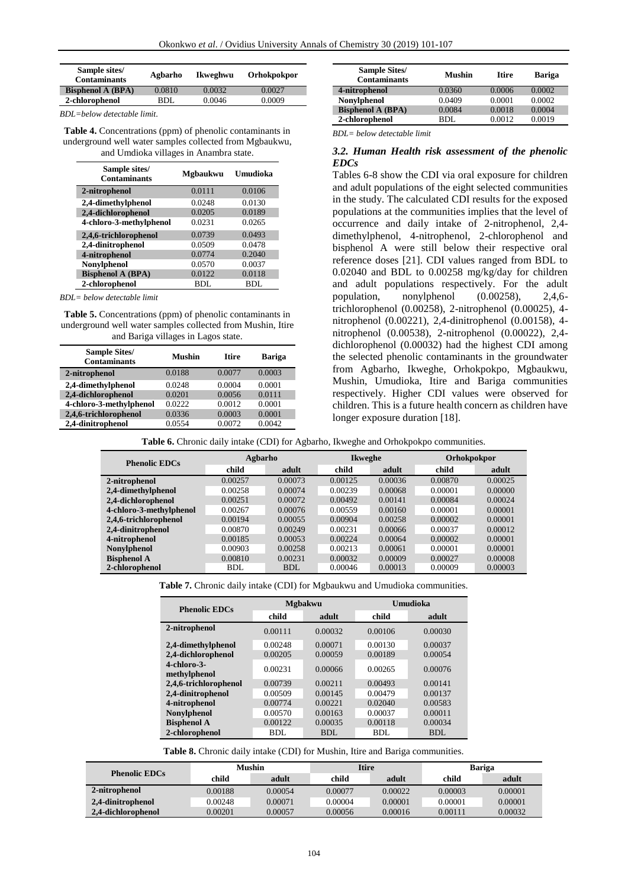| Sample sites/<br><b>Contaminants</b> | Agbarho | Ikweghwu | Orhokpokpor |  |
|--------------------------------------|---------|----------|-------------|--|
| <b>Bisphenol A (BPA)</b>             | 0.0810  | 0.0032   | 0.0027      |  |
| 2-chlorophenol                       | BDI.    | 0.0046   | 0.0009      |  |

*BDL=below detectable limit*.

**Table 4.** Concentrations (ppm) of phenolic contaminants in underground well water samples collected from Mgbaukwu, and Umdioka villages in Anambra state.

| Sample sites/<br><b>Contaminants</b> | Mgbaukwu | Umudioka |
|--------------------------------------|----------|----------|
| 2-nitrophenol                        | 0.0111   | 0.0106   |
| 2,4-dimethylphenol                   | 0.0248   | 0.0130   |
| 2,4-dichlorophenol                   | 0.0205   | 0.0189   |
| 4-chloro-3-methylphenol              | 0.0231   | 0.0265   |
| 2,4,6-trichlorophenol                | 0.0739   | 0.0493   |
| 2,4-dinitrophenol                    | 0.0509   | 0.0478   |
| 4-nitrophenol                        | 0.0774   | 0.2040   |
| <b>Nonylphenol</b>                   | 0.0570   | 0.0037   |
| <b>Bisphenol A (BPA)</b>             | 0.0122   | 0.0118   |
| 2-chlorophenol                       | BDL      | BDL      |

*BDL= below detectable limit*

**Table 5.** Concentrations (ppm) of phenolic contaminants in underground well water samples collected from Mushin, Itire and Bariga villages in Lagos state.

| <b>Sample Sites/</b><br><b>Contaminants</b> | <b>Mushin</b> | <b>Itire</b> | <b>Bariga</b> |
|---------------------------------------------|---------------|--------------|---------------|
| 2-nitrophenol                               | 0.0188        | 0.0077       | 0.0003        |
| 2,4-dimethylphenol                          | 0.0248        | 0.0004       | 0.0001        |
| 2,4-dichlorophenol                          | 0.0201        | 0.0056       | 0.0111        |
| 4-chloro-3-methylphenol                     | 0.0222        | 0.0012       | 0.0001        |
| 2,4,6-trichlorophenol                       | 0.0336        | 0.0003       | 0.0001        |
| 2,4-dinitrophenol                           | 0.0554        | 0.0072       | 0.0042        |

| <b>Sample Sites/</b><br><b>Contaminants</b> | Mushin | <b>Itire</b> | <b>Bariga</b> |
|---------------------------------------------|--------|--------------|---------------|
| 4-nitrophenol                               | 0.0360 | 0.0006       | 0.0002        |
| Nonylphenol                                 | 0.0409 | 0.0001       | 0.0002        |
| <b>Bisphenol A (BPA)</b>                    | 0.0084 | 0.0018       | 0.0004        |
| 2-chlorophenol                              | RDL    | 0.0012       | 0.0019        |

*BDL= below detectable limit*

## *3.2. Human Health risk assessment of the phenolic EDCs*

Tables 6-8 show the CDI via oral exposure for children and adult populations of the eight selected communities in the study. The calculated CDI results for the exposed populations at the communities implies that the level of occurrence and daily intake of 2-nitrophenol, 2,4 dimethylphenol, 4-nitrophenol, 2-chlorophenol and bisphenol A were still below their respective oral reference doses [21]. CDI values ranged from BDL to 0.02040 and BDL to 0.00258 mg/kg/day for children and adult populations respectively. For the adult population, nonylphenol (0.00258), 2,4,6 trichlorophenol (0.00258), 2-nitrophenol (0.00025), 4 nitrophenol (0.00221), 2,4-dinitrophenol (0.00158), 4 nitrophenol (0.00538), 2-nitrophenol (0.00022), 2,4 dichlorophenol (0.00032) had the highest CDI among the selected phenolic contaminants in the groundwater from Agbarho, Ikweghe, Orhokpokpo, Mgbaukwu, Mushin, Umudioka, Itire and Bariga communities respectively. Higher CDI values were observed for children. This is a future health concern as children have longer exposure duration [18].

| Table 6. Chronic daily intake (CDI) for Agbarho, Ikweghe and Orhokpokpo communities. |  |
|--------------------------------------------------------------------------------------|--|
|                                                                                      |  |

| <b>Phenolic EDCs</b>    | Agbarho |            | <b>Ikweghe</b> |         | Orhokpokpor |         |
|-------------------------|---------|------------|----------------|---------|-------------|---------|
|                         | child   | adult      | child          | adult   | child       | adult   |
| 2-nitrophenol           | 0.00257 | 0.00073    | 0.00125        | 0.00036 | 0.00870     | 0.00025 |
| 2,4-dimethylphenol      | 0.00258 | 0.00074    | 0.00239        | 0.00068 | 0.00001     | 0.00000 |
| 2,4-dichlorophenol      | 0.00251 | 0.00072    | 0.00492        | 0.00141 | 0.00084     | 0.00024 |
| 4-chloro-3-methylphenol | 0.00267 | 0.00076    | 0.00559        | 0.00160 | 0.00001     | 0.00001 |
| 2,4,6-trichlorophenol   | 0.00194 | 0.00055    | 0.00904        | 0.00258 | 0.00002     | 0.00001 |
| 2,4-dinitrophenol       | 0.00870 | 0.00249    | 0.00231        | 0.00066 | 0.00037     | 0.00012 |
| 4-nitrophenol           | 0.00185 | 0.00053    | 0.00224        | 0.00064 | 0.00002     | 0.00001 |
| <b>Nonylphenol</b>      | 0.00903 | 0.00258    | 0.00213        | 0.00061 | 0.00001     | 0.00001 |
| <b>Bisphenol A</b>      | 0.00810 | 0.00231    | 0.00032        | 0.00009 | 0.00027     | 0.00008 |
| 2-chlorophenol          | BDL     | <b>BDL</b> | 0.00046        | 0.00013 | 0.00009     | 0.00003 |

**Table 7.** Chronic daily intake (CDI) for Mgbaukwu and Umudioka communities.

| <b>Phenolic EDCs</b>           |         | <b>Mgbakwu</b> | Umudioka |         |  |
|--------------------------------|---------|----------------|----------|---------|--|
|                                | child   | adult          | child    | adult   |  |
| 2-nitrophenol                  | 0.00111 | 0.00032        | 0.00106  | 0.00030 |  |
| 2,4-dimethylphenol             | 0.00248 | 0.00071        | 0.00130  | 0.00037 |  |
| 2,4-dichlorophenol             | 0.00205 | 0.00059        | 0.00189  | 0.00054 |  |
| $4$ -chloro-3-<br>methylphenol | 0.00231 | 0.00066        | 0.00265  | 0.00076 |  |
| 2,4,6-trichlorophenol          | 0.00739 | 0.00211        | 0.00493  | 0.00141 |  |
| 2,4-dinitrophenol              | 0.00509 | 0.00145        | 0.00479  | 0.00137 |  |
| 4-nitrophenol                  | 0.00774 | 0.00221        | 0.02040  | 0.00583 |  |
| Nonylphenol                    | 0.00570 | 0.00163        | 0.00037  | 0.00011 |  |
| <b>Bisphenol A</b>             | 0.00122 | 0.00035        | 0.00118  | 0.00034 |  |
| 2-chlorophenol                 | BDL     | BDL            | BDL      | BDL     |  |

Table 8. Chronic daily intake (CDI) for Mushin, Itire and Bariga communities.

| <b>Phenolic EDCs</b> | <b>Mushin</b> |         | Itire   |         | Bariga  |         |
|----------------------|---------------|---------|---------|---------|---------|---------|
|                      | child         | adult   | child   | adult   | child   | adult   |
| 2-nitrophenol        | 0.00188       | 0.00054 | 0.00077 | 0.00022 | 0.00003 | 0.00001 |
| 2,4-dinitrophenol    | 0.00248       | 0.00071 | 0.00004 | 0.00001 | 0.00001 | 0.00001 |
| 2,4-dichlorophenol   | 0.00201       | 0.00057 | 0.00056 | 0.00016 | 0.00111 | 0.00032 |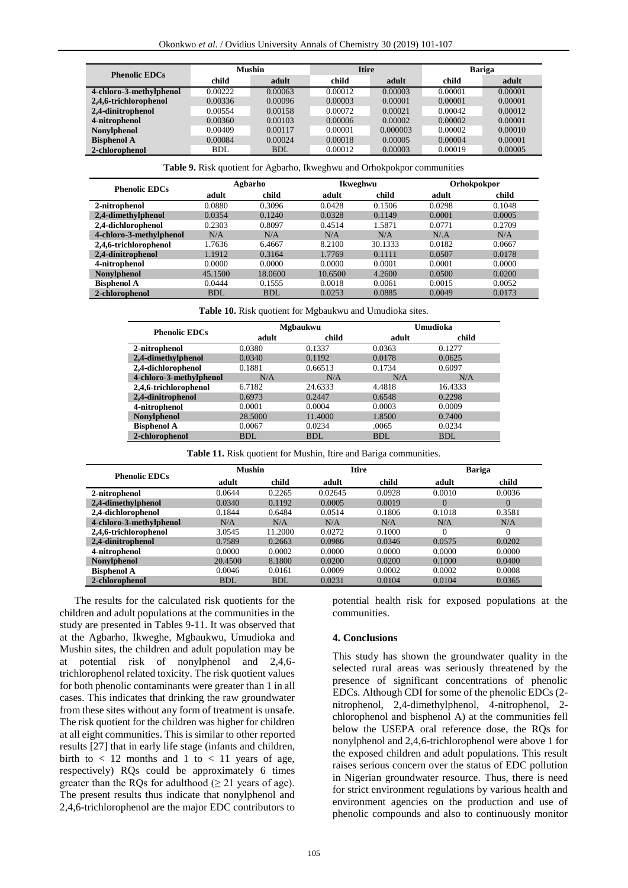| <b>Phenolic EDCs</b>    | <b>Mushin</b> |            | <b>Itire</b> |          | <b>Bariga</b> |         |
|-------------------------|---------------|------------|--------------|----------|---------------|---------|
|                         | child         | adult      | child        | adult    | child         | adult   |
| 4-chloro-3-methylphenol | 0.00222       | 0.00063    | 0.00012      | 0.00003  | 0.00001       | 0.00001 |
| 2,4,6-trichlorophenol   | 0.00336       | 0.00096    | 0.00003      | 0.00001  | 0.00001       | 0.00001 |
| 2,4-dinitrophenol       | 0.00554       | 0.00158    | 0.00072      | 0.00021  | 0.00042       | 0.00012 |
| 4-nitrophenol           | 0.00360       | 0.00103    | 0.00006      | 0.00002  | 0.00002       | 0.00001 |
| <b>Nonviphenol</b>      | 0.00409       | 0.00117    | 0.00001      | 0.000003 | 0.00002       | 0.00010 |
| <b>Bisphenol A</b>      | 0.00084       | 0.00024    | 0.00018      | 0.00005  | 0.00004       | 0.00001 |
| 2-chlorophenol          | <b>BDL</b>    | <b>BDL</b> | 0.00012      | 0.00003  | 0.00019       | 0.00005 |

**Table 9.** Risk quotient for Agbarho, Ikweghwu and Orhokpokpor communities

| <b>Phenolic EDCs</b>    | Agbarho    |            |         | Ikweghwu |        | Orhokpokpor |  |
|-------------------------|------------|------------|---------|----------|--------|-------------|--|
|                         | adult      | child      | adult   | child    | adult  | child       |  |
| 2-nitrophenol           | 0.0880     | 0.3096     | 0.0428  | 0.1506   | 0.0298 | 0.1048      |  |
| 2,4-dimethylphenol      | 0.0354     | 0.1240     | 0.0328  | 0.1149   | 0.0001 | 0.0005      |  |
| 2,4-dichlorophenol      | 0.2303     | 0.8097     | 0.4514  | 1.5871   | 0.0771 | 0.2709      |  |
| 4-chloro-3-methylphenol | N/A        | N/A        | N/A     | N/A      | N/A    | N/A         |  |
| 2,4,6-trichlorophenol   | 1.7636     | 6.4667     | 8.2100  | 30.1333  | 0.0182 | 0.0667      |  |
| 2,4-dinitrophenol       | 1.1912     | 0.3164     | 1.7769  | 0.1111   | 0.0507 | 0.0178      |  |
| 4-nitrophenol           | 0.0000     | 0.0000     | 0.0000  | 0.0001   | 0.0001 | 0.0000      |  |
| <b>Nonylphenol</b>      | 45.1500    | 18.0600    | 10.6500 | 4.2600   | 0.0500 | 0.0200      |  |
| <b>Bisphenol A</b>      | 0.0444     | 0.1555     | 0.0018  | 0.0061   | 0.0015 | 0.0052      |  |
| 2-chlorophenol          | <b>BDL</b> | <b>BDL</b> | 0.0253  | 0.0885   | 0.0049 | 0.0173      |  |

|  |  |  |  |  | Table 10. Risk quotient for Mgbaukwu and Umudioka sites. |  |
|--|--|--|--|--|----------------------------------------------------------|--|
|--|--|--|--|--|----------------------------------------------------------|--|

| <b>Phenolic EDCs</b>    |            | <b>Mgbaukwu</b> |        | Umudioka |  |  |
|-------------------------|------------|-----------------|--------|----------|--|--|
|                         | adult      | child           | adult  | child    |  |  |
| 2-nitrophenol           | 0.0380     | 0.1337          | 0.0363 | 0.1277   |  |  |
| 2,4-dimethylphenol      | 0.0340     | 0.1192          | 0.0178 | 0.0625   |  |  |
| 2,4-dichlorophenol      | 0.1881     | 0.66513         | 0.1734 | 0.6097   |  |  |
| 4-chloro-3-methylphenol | N/A        | N/A             | N/A    | N/A      |  |  |
| 2,4,6-trichlorophenol   | 6.7182     | 24.6333         | 4.4818 | 16.4333  |  |  |
| 2,4-dinitrophenol       | 0.6973     | 0.2447          | 0.6548 | 0.2298   |  |  |
| 4-nitrophenol           | 0.0001     | 0.0004          | 0.0003 | 0.0009   |  |  |
| <b>Nonvlphenol</b>      | 28.5000    | 11.4000         | 1.8500 | 0.7400   |  |  |
| <b>Bisphenol A</b>      | 0.0067     | 0.0234          | .0065  | 0.0234   |  |  |
| 2-chlorophenol          | <b>BDL</b> | BDL             | BDL    | BDL      |  |  |

| Table 11. Risk quotient for Mushin, Itire and Bariga communities. |  |  |  |
|-------------------------------------------------------------------|--|--|--|
|                                                                   |  |  |  |

| <b>Phenolic EDCs</b>    | <b>Mushin</b> |            |         | <b>Itire</b> |          | <b>Bariga</b> |  |
|-------------------------|---------------|------------|---------|--------------|----------|---------------|--|
|                         | adult         | child      | adult   | child        | adult    | child         |  |
| 2-nitrophenol           | 0.0644        | 0.2265     | 0.02645 | 0.0928       | 0.0010   | 0.0036        |  |
| 2,4-dimethylphenol      | 0.0340        | 0.1192     | 0.0005  | 0.0019       | $\Omega$ | $\Omega$      |  |
| 2,4-dichlorophenol      | 0.1844        | 0.6484     | 0.0514  | 0.1806       | 0.1018   | 0.3581        |  |
| 4-chloro-3-methylphenol | N/A           | N/A        | N/A     | N/A          | N/A      | N/A           |  |
| 2,4,6-trichlorophenol   | 3.0545        | 11.2000    | 0.0272  | 0.1000       | $\Omega$ | $\Omega$      |  |
| 2,4-dinitrophenol       | 0.7589        | 0.2663     | 0.0986  | 0.0346       | 0.0575   | 0.0202        |  |
| 4-nitrophenol           | 0.0000        | 0.0002     | 0.0000  | 0.0000       | 0.0000   | 0.0000        |  |
| <b>Nonylphenol</b>      | 20.4500       | 8.1800     | 0.0200  | 0.0200       | 0.1000   | 0.0400        |  |
| <b>Bisphenol A</b>      | 0.0046        | 0.0161     | 0.0009  | 0.0002       | 0.0002   | 0.0008        |  |
| 2-chlorophenol          | <b>BDL</b>    | <b>BDL</b> | 0.0231  | 0.0104       | 0.0104   | 0.0365        |  |

The results for the calculated risk quotients for the children and adult populations at the communities in the study are presented in Tables 9-11. It was observed that at the Agbarho, Ikweghe, Mgbaukwu, Umudioka and Mushin sites, the children and adult population may be at potential risk of nonylphenol and 2,4,6 trichlorophenol related toxicity. The risk quotient values for both phenolic contaminants were greater than 1 in all cases. This indicates that drinking the raw groundwater from these sites without any form of treatment is unsafe. The risk quotient for the children was higher for children at all eight communities. This is similar to other reported results [27] that in early life stage (infants and children, birth to  $< 12$  months and 1 to  $< 11$  years of age, respectively) RQs could be approximately 6 times greater than the RQs for adulthood  $(\geq 21)$  years of age). The present results thus indicate that nonylphenol and 2,4,6-trichlorophenol are the major EDC contributors to

potential health risk for exposed populations at the communities.

#### **4. Conclusions**

This study has shown the groundwater quality in the selected rural areas was seriously threatened by the presence of significant concentrations of phenolic EDCs. Although CDI for some of the phenolic EDCs (2 nitrophenol, 2,4-dimethylphenol, 4-nitrophenol, 2 chlorophenol and bisphenol A) at the communities fell below the USEPA oral reference dose, the RQs for nonylphenol and 2,4,6-trichlorophenol were above 1 for the exposed children and adult populations. This result raises serious concern over the status of EDC pollution in Nigerian groundwater resource. Thus, there is need for strict environment regulations by various health and environment agencies on the production and use of phenolic compounds and also to continuously monitor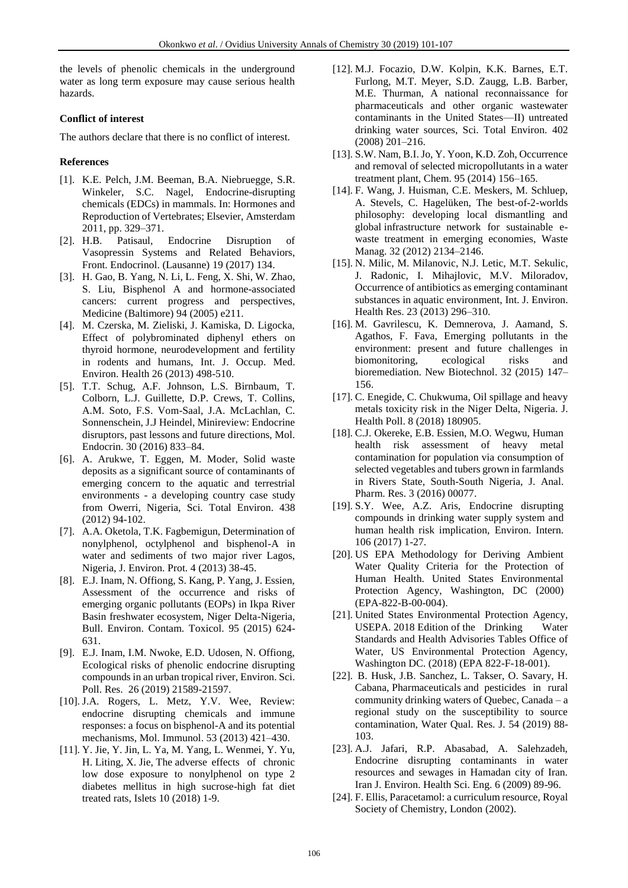the levels of phenolic chemicals in the underground water as long term exposure may cause serious health hazards.

## **Conflict of interest**

The authors declare that there is no conflict of interest.

## **References**

- [1]. K.E. Pelch, J.M. Beeman, B.A. Niebruegge, S.R. Winkeler, S.C. Nagel, Endocrine-disrupting chemicals (EDCs) in mammals. In: Hormones and Reproduction of Vertebrates; Elsevier, Amsterdam 2011, pp. 329–371.
- [2]. H.B. Patisaul, Endocrine Disruption of Vasopressin Systems and Related Behaviors, Front. Endocrinol. (Lausanne) 19 (2017) 134.
- [3]. H. Gao, B. Yang, N. Li, L. Feng, X. Shi, W. Zhao, S. Liu, Bisphenol A and hormone-associated cancers: current progress and perspectives, Medicine (Baltimore) 94 (2005) e211.
- [4]. M. Czerska, M. Zieliski, J. Kamiska, D. Ligocka, Effect of polybrominated diphenyl ethers on thyroid hormone, neurodevelopment and fertility in rodents and humans, Int. J. Occup. Med. Environ. Health 26 (2013) 498-510.
- [5]. T.T. Schug, A.F. Johnson, L.S. Birnbaum, T. Colborn, L.J. Guillette, D.P. Crews, T. Collins, A.M. Soto, F.S. Vom-Saal, J.A. McLachlan, C. Sonnenschein, J.J Heindel, Minireview: Endocrine disruptors, past lessons and future directions, Mol. Endocrin. 30 (2016) 833–84.
- [6]. A. Arukwe, T. Eggen, M. Moder, Solid waste deposits as a significant source of contaminants of emerging concern to the aquatic and terrestrial environments - a developing country case study from Owerri, Nigeria, Sci. Total Environ. 438 (2012) 94-102.
- [7]. A.A. Oketola, T.K. Fagbemigun, Determination of nonylphenol, octylphenol and bisphenol-A in water and sediments of two major river Lagos, Nigeria, J. Environ. Prot. 4 (2013) 38-45.
- [8]. E.J. Inam, N. Offiong, S. Kang, P. Yang, J. Essien, Assessment of the occurrence and risks of emerging organic pollutants (EOPs) in Ikpa River Basin freshwater ecosystem, Niger Delta-Nigeria, Bull. Environ. Contam. Toxicol. 95 (2015) 624- 631.
- [9]. E.J. Inam, I.M. Nwoke, E.D. Udosen, N. Offiong, Ecological risks of phenolic endocrine disrupting compounds in an urban tropical river, Environ. Sci. Poll. Res. 26 (2019) 21589-21597.
- [10]. J.A. Rogers, L. Metz, Y.V. Wee, Review: endocrine disrupting chemicals and immune responses: a focus on bisphenol-A and its potential mechanisms, Mol. Immunol. 53 (2013) 421–430.
- [11]. Y. Jie, Y. Jin, L. Ya, M. Yang, L. Wenmei, Y. Yu, H. Liting, X. Jie, The adverse effects of chronic low dose exposure to nonylphenol on type 2 diabetes mellitus in high sucrose-high fat diet treated rats, Islets 10 (2018) 1-9.
- [12]. M.J. Focazio, D.W. Kolpin, K.K. Barnes, E.T. Furlong, M.T. Meyer, S.D. Zaugg, L.B. Barber, M.E. Thurman, A national reconnaissance for pharmaceuticals and other organic wastewater contaminants in the United States—II) untreated drinking water sources, Sci. Total Environ. 402 (2008) 201–216.
- [13]. S.W. Nam, B.I. Jo, Y. Yoon, K.D. Zoh, Occurrence and removal of selected micropollutants in a water treatment plant, Chem. 95 (2014) 156–165.
- [14]. F. Wang, J. Huisman, C.E. Meskers, M. Schluep, A. Stevels, C. Hagelüken, The best-of-2-worlds philosophy: developing local dismantling and global infrastructure network for sustainable ewaste treatment in emerging economies, Waste Manag. 32 (2012) 2134–2146.
- [15]. N. Milic, M. Milanovic, N.J. Letic, M.T. Sekulic, J. Radonic, I. Mihajlovic, M.V. Miloradov, Occurrence of antibiotics as emerging contaminant substances in aquatic environment, Int. J. Environ. Health Res. 23 (2013) 296–310.
- [16]. M. Gavrilescu, K. Demnerova, J. Aamand, S. Agathos, F. Fava, Emerging pollutants in the environment: present and future challenges in biomonitoring, ecological risks and bioremediation. New Biotechnol. 32 (2015) 147– 156.
- [17]. C. Enegide, C. Chukwuma, Oil spillage and heavy metals toxicity risk in the Niger Delta, Nigeria. J. Health Poll. 8 (2018) 180905.
- [18]. C.J. Okereke, E.B. Essien, M.O. Wegwu, Human health risk assessment of heavy metal contamination for population via consumption of selected vegetables and tubers grown in farmlands in Rivers State, South-South Nigeria, J. Anal. Pharm. Res. 3 (2016) 00077.
- [19]. S.Y. Wee, A.Z. Aris, Endocrine disrupting compounds in drinking water supply system and human health risk implication, Environ. Intern. 106 (2017) 1-27.
- [20]. US EPA Methodology for Deriving Ambient Water Quality Criteria for the Protection of Human Health. United States Environmental Protection Agency, Washington, DC (2000) (EPA-822-B-00-004).
- [21]. United States Environmental Protection Agency, USEPA. 2018 Edition of the Drinking Water Standards and Health Advisories Tables Office of Water, US Environmental Protection Agency, Washington DC. (2018) (EPA 822-F-18-001).
- [22]. B. Husk, J.B. Sanchez, L. Takser, O. Savary, H. Cabana, Pharmaceuticals and pesticides in rural community drinking waters of Quebec, Canada – a regional study on the susceptibility to source contamination, Water Qual. Res. J. 54 (2019) 88- 103.
- [23]. A.J. Jafari, R.P. Abasabad, A. Salehzadeh, Endocrine disrupting contaminants in water resources and sewages in Hamadan city of Iran. Iran J. Environ. Health Sci. Eng. 6 (2009) 89-96.
- [24]. F. Ellis, Paracetamol: a curriculum resource, Royal Society of Chemistry, London (2002).